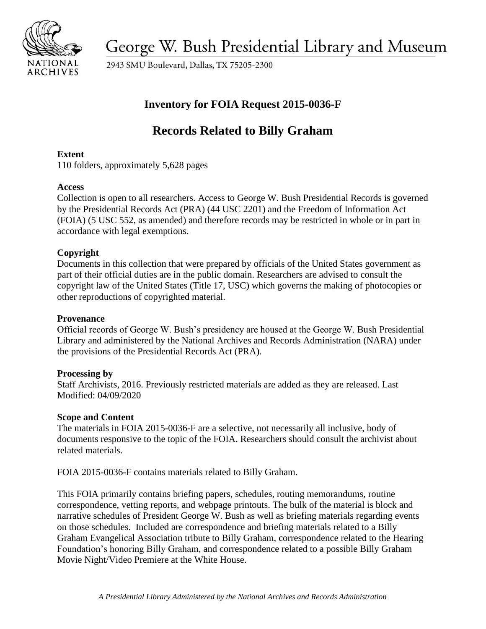

George W. Bush Presidential Library and Museum

2943 SMU Boulevard, Dallas, TX 75205-2300

## **Inventory for FOIA Request 2015-0036-F**

# **Records Related to Billy Graham**

## **Extent**

110 folders, approximately 5,628 pages

## **Access**

Collection is open to all researchers. Access to George W. Bush Presidential Records is governed by the Presidential Records Act (PRA) (44 USC 2201) and the Freedom of Information Act (FOIA) (5 USC 552, as amended) and therefore records may be restricted in whole or in part in accordance with legal exemptions.

## **Copyright**

Documents in this collection that were prepared by officials of the United States government as part of their official duties are in the public domain. Researchers are advised to consult the copyright law of the United States (Title 17, USC) which governs the making of photocopies or other reproductions of copyrighted material.

## **Provenance**

 Official records of George W. Bush's presidency are housed at the George W. Bush Presidential Library and administered by the National Archives and Records Administration (NARA) under the provisions of the Presidential Records Act (PRA).

## **Processing by**

 Modified: 04/09/2020 Staff Archivists, 2016. Previously restricted materials are added as they are released. Last

## **Scope and Content**

 The materials in FOIA 2015-0036-F are a selective, not necessarily all inclusive, body of documents responsive to the topic of the FOIA. Researchers should consult the archivist about related materials.

FOIA 2015-0036-F contains materials related to Billy Graham.

This FOIA primarily contains briefing papers, schedules, routing memorandums, routine correspondence, vetting reports, and webpage printouts. The bulk of the material is block and narrative schedules of President George W. Bush as well as briefing materials regarding events on those schedules. Included are correspondence and briefing materials related to a Billy Graham Evangelical Association tribute to Billy Graham, correspondence related to the Hearing Foundation's honoring Billy Graham, and correspondence related to a possible Billy Graham Movie Night/Video Premiere at the White House.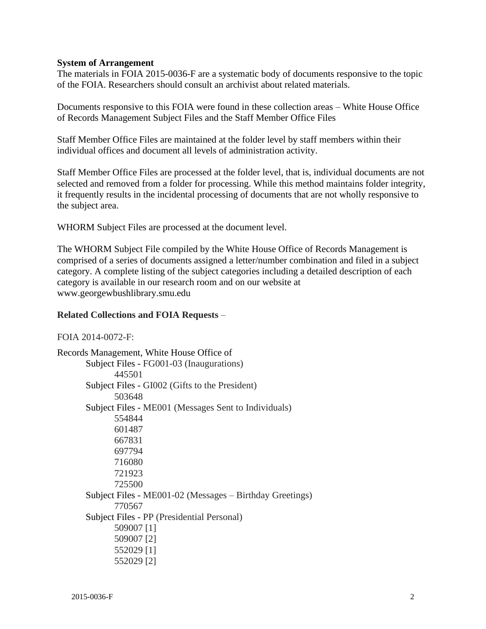#### **System of Arrangement**

The materials in FOIA 2015-0036-F are a systematic body of documents responsive to the topic of the FOIA. Researchers should consult an archivist about related materials.

Documents responsive to this FOIA were found in these collection areas – White House Office of Records Management Subject Files and the Staff Member Office Files

Staff Member Office Files are maintained at the folder level by staff members within their individual offices and document all levels of administration activity.

Staff Member Office Files are processed at the folder level, that is, individual documents are not selected and removed from a folder for processing. While this method maintains folder integrity, it frequently results in the incidental processing of documents that are not wholly responsive to the subject area.

WHORM Subject Files are processed at the document level.

The WHORM Subject File compiled by the White House Office of Records Management is comprised of a series of documents assigned a letter/number combination and filed in a subject category. A complete listing of the subject categories including a detailed description of each category is available in our research room and on our website at <www.georgewbushlibrary.smu.edu>

#### **Related Collections and FOIA Requests** –

#### FOIA 2014-0072-F:

Records Management, White House Office of Subject Files - FG001-03 (Inaugurations) 445501 Subject Files - GI002 (Gifts to the President) 503648 Subject Files - ME001 (Messages Sent to Individuals) 554844 601487 667831 697794 716080 721923 725500 Subject Files - ME001-02 (Messages – Birthday Greetings) 770567 Subject Files - PP (Presidential Personal) 509007 [1] 509007 [2] 552029 [1] 552029 [2]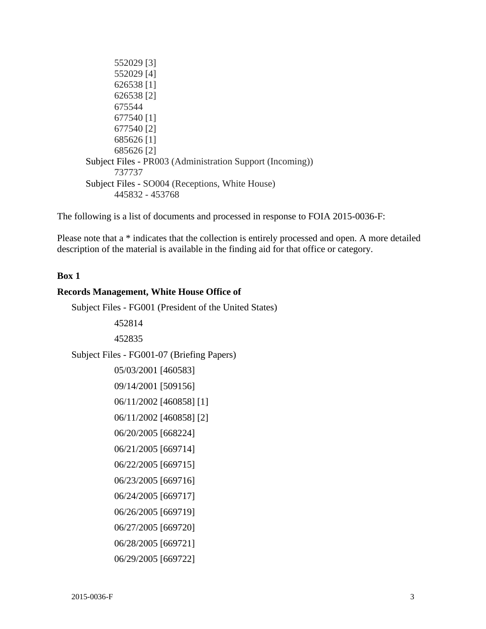552029 [3] 552029 [4] 626538 [1] 626538 [2] 675544 677540 [1] 677540 [2] 685626 [1] 685626 [2] Subject Files - PR003 (Administration Support (Incoming)) 737737 Subject Files - SO004 (Receptions, White House) 445832 - 453768

The following is a list of documents and processed in response to FOIA 2015-0036-F:

Please note that a \* indicates that the collection is entirely processed and open. A more detailed description of the material is available in the finding aid for that office or category.

#### **Box 1**

#### **Records Management, White House Office of**

Subject Files - FG001 (President of the United States)

452814 452835 Subject Files - FG001-07 (Briefing Papers) 05/03/2001 [460583] 09/14/2001 [509156] 06/11/2002 [460858] [1] 06/11/2002 [460858] [2] 06/20/2005 [668224] 06/21/2005 [669714] 06/22/2005 [669715] 06/23/2005 [669716] 06/24/2005 [669717] 06/26/2005 [669719] 06/27/2005 [669720] 06/28/2005 [669721] 06/29/2005 [669722]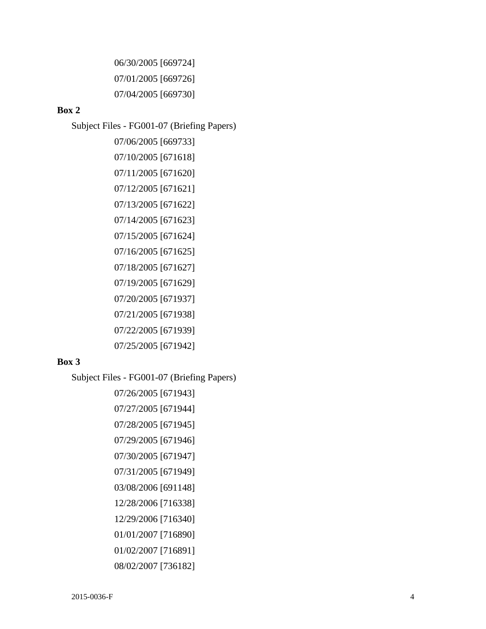06/30/2005 [669724] 07/01/2005 [669726] 07/04/2005 [669730]

#### **Box 2**

Subject Files - FG001-07 (Briefing Papers)

07/06/2005 [669733] 07/10/2005 [671618] 07/11/2005 [671620] 07/12/2005 [671621] 07/13/2005 [671622] 07/14/2005 [671623] 07/15/2005 [671624] 07/16/2005 [671625] 07/18/2005 [671627] 07/19/2005 [671629] 07/20/2005 [671937] 07/21/2005 [671938] 07/22/2005 [671939] 07/25/2005 [671942]

#### **Box 3**

Subject Files - FG001-07 (Briefing Papers)

07/26/2005 [671943] 07/27/2005 [671944] 07/28/2005 [671945] 07/29/2005 [671946] 07/30/2005 [671947] 07/31/2005 [671949] 03/08/2006 [691148] 12/28/2006 [716338] 12/29/2006 [716340] 01/01/2007 [716890] 01/02/2007 [716891] 08/02/2007 [736182]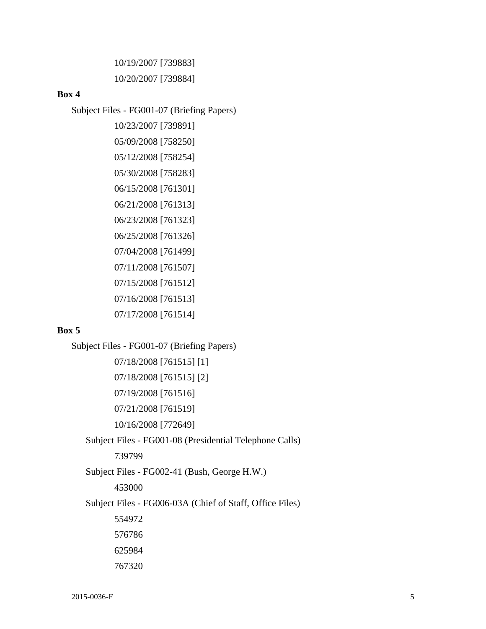10/19/2007 [739883] 10/20/2007 [739884]

#### **Box 4**

Subject Files - FG001-07 (Briefing Papers)

10/23/2007 [739891] 05/09/2008 [758250] 05/12/2008 [758254] 05/30/2008 [758283] 06/15/2008 [761301] 06/21/2008 [761313] 06/23/2008 [761323] 06/25/2008 [761326] 07/04/2008 [761499] 07/11/2008 [761507] 07/15/2008 [761512] 07/16/2008 [761513] 07/17/2008 [761514]

#### **Box 5**

Subject Files - FG001-07 (Briefing Papers) 07/18/2008 [761515] [1] 07/18/2008 [761515] [2] 07/19/2008 [761516] 07/21/2008 [761519] 10/16/2008 [772649] Subject Files - FG001-08 (Presidential Telephone Calls) 739799 Subject Files - FG002-41 (Bush, George H.W.) 453000 Subject Files - FG006-03A (Chief of Staff, Office Files) 554972 576786 625984 767320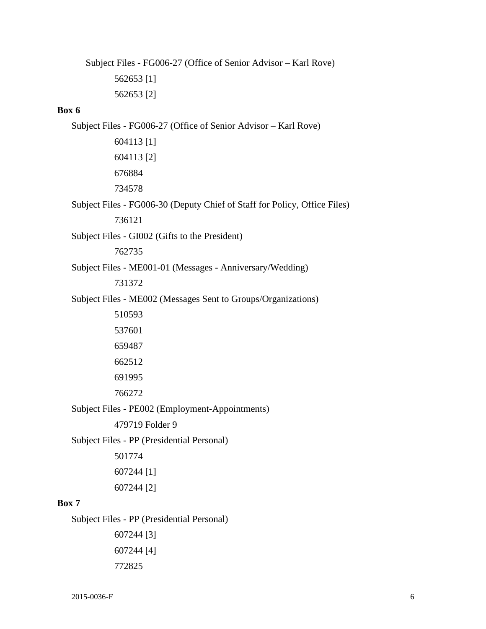Subject Files - FG006-27 (Office of Senior Advisor – Karl Rove)

562653 [1] 562653 [2]

#### **Box 6**

Subject Files - FG006-27 (Office of Senior Advisor – Karl Rove) 604113 [1] 604113 [2] 676884 734578 Subject Files - FG006-30 (Deputy Chief of Staff for Policy, Office Files) 736121 Subject Files - GI002 (Gifts to the President) 762735 Subject Files - ME001-01 (Messages - Anniversary/Wedding) 731372 Subject Files - ME002 (Messages Sent to Groups/Organizations) 510593 537601 659487 662512 691995 766272 Subject Files - PE002 (Employment-Appointments) 479719 Folder 9 Subject Files - PP (Presidential Personal) 501774 607244 [1] 607244 [2] **Box 7**  Subject Files - PP (Presidential Personal) 607244 [3] 607244 [4]

772825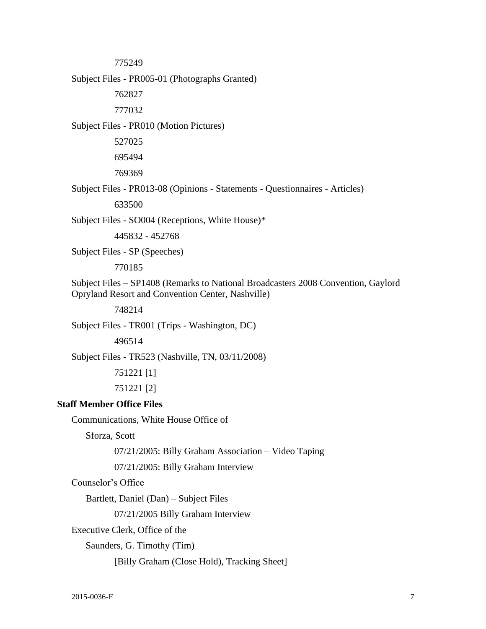775249

Subject Files - PR005-01 (Photographs Granted)

762827

777032

Subject Files - PR010 (Motion Pictures)

527025

695494

769369

Subject Files - PR013-08 (Opinions - Statements - Questionnaires - Articles)

633500

Subject Files - SO004 (Receptions, White House)\*

445832 - 452768

Subject Files - SP (Speeches)

770185

Subject Files – SP1408 (Remarks to National Broadcasters 2008 Convention, Gaylord Opryland Resort and Convention Center, Nashville)

748214

Subject Files - TR001 (Trips - Washington, DC)

496514

Subject Files - TR523 (Nashville, TN, 03/11/2008)

751221 [1]

751221 [2]

### **Staff Member Office Files**

Communications, White House Office of

Sforza, Scott

07/21/2005: Billy Graham Association – Video Taping

07/21/2005: Billy Graham Interview

Counselor's Office

Bartlett, Daniel (Dan) – Subject Files

07/21/2005 Billy Graham Interview

Executive Clerk, Office of the

Saunders, G. Timothy (Tim)

[Billy Graham (Close Hold), Tracking Sheet]